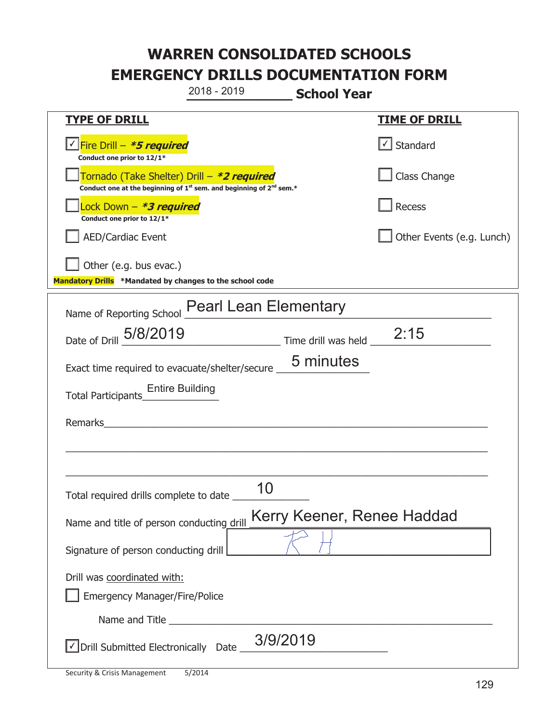**\_\_\_\_\_\_\_\_\_\_\_\_\_ School Year TYPE OF DRILL TIME OF DRILL**  <mark>▽ Fire Drill – *\*5 required* マイクレス マイクレス マイクレス マイクレス マイクレス マイクレス マイクレス マイクレス しゃく</mark> **Conduct one prior to 12/1\***   $\boxed{\checkmark}$  Standard 侊Tornado (Take Shelter) Drill – **\*2 required Conduct one at the beginning of 1<sup>st</sup> sem. and beginning of 2<sup>nd</sup> sem.\*** Class Change 侊Lock Down – **\*3 required Conduct one prior to 12/1\* Recess** AED/Cardiac Event **AED/Cardiac Event Network Network Network Network Network Network Network Network Network Network Network Network Network Network Network Network Network Network Net**  $\Box$  Other (e.g. bus evac.) **Mandatory Drills \*Mandated by changes to the school code**  Name of Reporting School Pearl Lean Elementary Date of Drill  $\frac{5/8/2019}{2}$  Time drill was held 2:15 Exact time required to evacuate/shelter/secure  $\frac{5 \text{ minutes}}{2}$ Total Participants\_\_\_\_\_\_\_\_\_\_\_\_\_\_ Entire Building Remarks  $\_$  , and the set of the set of the set of the set of the set of the set of the set of the set of the set of the set of the set of the set of the set of the set of the set of the set of the set of the set of the set of th \_\_\_\_\_\_\_\_\_\_\_\_\_\_\_\_\_\_\_\_\_\_\_\_\_\_\_\_\_\_\_\_\_\_\_\_\_\_\_\_\_\_\_\_\_\_\_\_\_\_\_\_\_\_\_\_\_\_\_\_\_\_\_\_\_\_\_\_\_\_\_\_\_\_\_\_\_ Total required drills complete to date \_\_\_\_\_\_\_\_\_\_\_\_\_\_ Name and title of person conducting drill Kerry Keener, Renee Haddad Signature of person conducting drill Drill was coordinated with: ܆ Emergency Manager/Fire/Police Name and Title **Example 20**  $\sqrt{2}$  Drill Submitted Electronically Date  $\frac{3/9/2019}{2}$ 2018 - 2019 10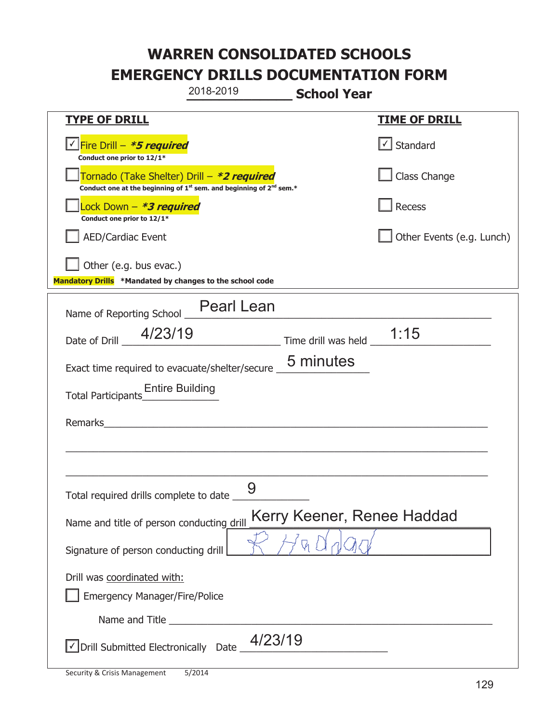|                                                                                                                                           | 2018-2019                                                                                                             | <b>School Year</b>                                |                           |
|-------------------------------------------------------------------------------------------------------------------------------------------|-----------------------------------------------------------------------------------------------------------------------|---------------------------------------------------|---------------------------|
| <u>TYPE OF DRILL</u>                                                                                                                      |                                                                                                                       |                                                   | <b>TIME OF DRILL</b>      |
| <u>√ Fire Drill – <i>*<b>5 required</b></i></u><br>Conduct one prior to 12/1*                                                             |                                                                                                                       |                                                   | $\cup$ Standard           |
| Tornado (Take Shelter) Drill – *2 required<br>Conduct one at the beginning of 1 <sup>st</sup> sem. and beginning of 2 <sup>nd</sup> sem.* |                                                                                                                       |                                                   | Class Change              |
| Lock Down - <b>*3 required</b><br>Conduct one prior to 12/1*                                                                              |                                                                                                                       |                                                   | Recess                    |
| <b>AED/Cardiac Event</b>                                                                                                                  |                                                                                                                       |                                                   | Other Events (e.g. Lunch) |
| Other (e.g. bus evac.)<br>Mandatory Drills *Mandated by changes to the school code                                                        |                                                                                                                       |                                                   |                           |
| Name of Reporting School _                                                                                                                | <b>Pearl Lean</b>                                                                                                     |                                                   |                           |
| 4/23/19<br>Date of Drill                                                                                                                  |                                                                                                                       | $\frac{1}{15}$ Time drill was held $\frac{1}{15}$ |                           |
| Exact time required to evacuate/shelter/secure _                                                                                          |                                                                                                                       | 5 minutes                                         |                           |
| <b>Entire Building</b><br>Total Participants                                                                                              |                                                                                                                       |                                                   |                           |
| Remarks                                                                                                                                   | <u> 1989 - Johann Harry Harry Harry Harry Harry Harry Harry Harry Harry Harry Harry Harry Harry Harry Harry Harry</u> |                                                   |                           |
|                                                                                                                                           |                                                                                                                       |                                                   |                           |
| Total required drills complete to date                                                                                                    | 9                                                                                                                     |                                                   |                           |
| Name and title of person conducting drill                                                                                                 |                                                                                                                       | Kerry Keener, Renee Haddad                        |                           |
| Signature of person conducting drill                                                                                                      |                                                                                                                       |                                                   |                           |
| Drill was coordinated with:<br><b>Emergency Manager/Fire/Police</b>                                                                       |                                                                                                                       |                                                   |                           |
|                                                                                                                                           |                                                                                                                       |                                                   |                           |
| √ Drill Submitted Electronically Date                                                                                                     | 4/23/19                                                                                                               |                                                   |                           |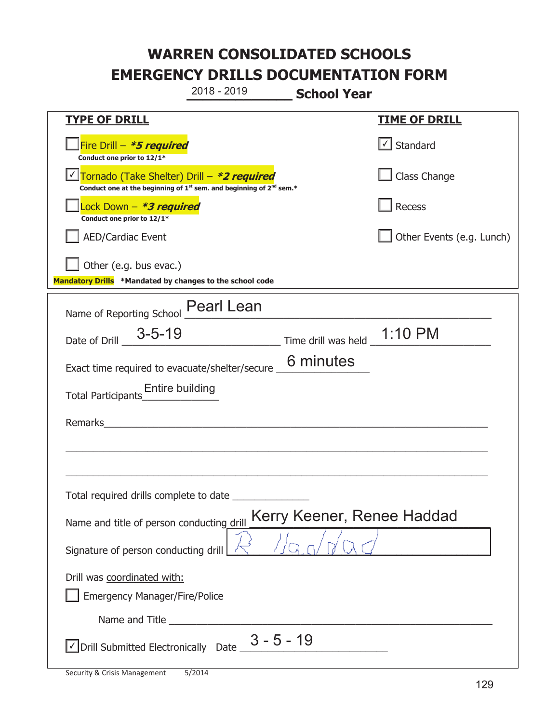**\_\_\_\_\_\_\_\_\_\_\_\_\_ School Year TYPE OF DRILL TIME OF DRILL**  侊Fire Drill – **\*5 required Conduct one prior to 12/1\***   $\boxed{\checkmark}$  Standard 侊Tornado (Take Shelter) Drill – **\*2 required** ✔ **Conduct one at the beginning of 1<sup>st</sup> sem. and beginning of 2<sup>nd</sup> sem.\*** Class Change 侊Lock Down – **\*3 required Conduct one prior to 12/1\* Recess** AED/Cardiac Event **AED/Cardiac Event Network Network Network Network Network Network Network Network Network Network Network Network Network Network Network Network Network Network Net**  $\Box$  Other (e.g. bus evac.) **Mandatory Drills \*Mandated by changes to the school code**  Name of Reporting School Pearl Lean Date of Drill  $\frac{3-5-19}{\sqrt{2}}$  Time drill was held  $\frac{1:10 \text{ PM}}{\sqrt{2}}$ Exact time required to evacuate/shelter/secure  $\overline{\phantom{a}}$  6 minutes Total Participants\_\_\_\_\_\_\_\_\_\_\_\_\_\_ Entire building Remarks  $\_$  , and the set of the set of the set of the set of the set of the set of the set of the set of the set of the set of the set of the set of the set of the set of the set of the set of the set of the set of the set of th \_\_\_\_\_\_\_\_\_\_\_\_\_\_\_\_\_\_\_\_\_\_\_\_\_\_\_\_\_\_\_\_\_\_\_\_\_\_\_\_\_\_\_\_\_\_\_\_\_\_\_\_\_\_\_\_\_\_\_\_\_\_\_\_\_\_\_\_\_\_\_\_\_\_\_\_\_ Total required drills complete to date \_\_\_\_\_\_\_\_\_\_\_\_\_\_ Name and title of person conducting drill Kerry Keener, Renee Haddad Signature of person conducting drill  $\vert$ Drill was coordinated with: ܆ Emergency Manager/Fire/Police Name and Title **Example 20**  $\sqrt{\frac{1}{2}}$  Drill Submitted Electronically Date  $\frac{3 - 5 - 19}{\sqrt{3 - 3 - 19}}$ 2018 - 2019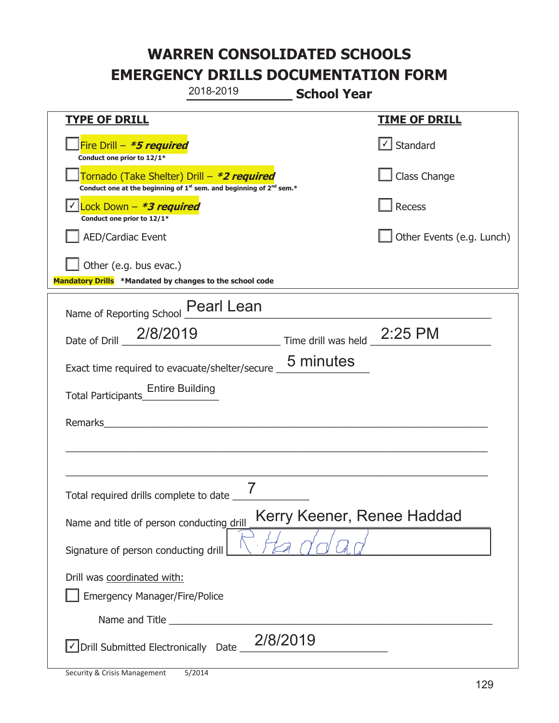|                                                                                                                                           | 2018-2019                                                                                                        | <b>School Year</b>          |                           |
|-------------------------------------------------------------------------------------------------------------------------------------------|------------------------------------------------------------------------------------------------------------------|-----------------------------|---------------------------|
| <b>TYPE OF DRILL</b>                                                                                                                      |                                                                                                                  |                             | <u>TIME OF DRILL</u>      |
| Fire Drill - *5 required<br>Conduct one prior to 12/1*                                                                                    |                                                                                                                  |                             | Standard                  |
| Tornado (Take Shelter) Drill – *2 required<br>Conduct one at the beginning of 1 <sup>st</sup> sem. and beginning of 2 <sup>nd</sup> sem.* |                                                                                                                  |                             | Class Change              |
| Lock Down - *3 required<br>Conduct one prior to 12/1*                                                                                     |                                                                                                                  |                             | Recess                    |
| <b>AED/Cardiac Event</b>                                                                                                                  |                                                                                                                  |                             | Other Events (e.g. Lunch) |
| Other (e.g. bus evac.)<br>Mandatory Drills *Mandated by changes to the school code                                                        |                                                                                                                  |                             |                           |
| Name of Reporting School _ Pearl Lean                                                                                                     |                                                                                                                  |                             |                           |
| 2/8/2019<br>Date of Drill                                                                                                                 |                                                                                                                  | Time drill was held 2:25 PM |                           |
| Exact time required to evacuate/shelter/secure _                                                                                          |                                                                                                                  | 5 minutes                   |                           |
| <b>Entire Building</b><br><b>Total Participants</b>                                                                                       |                                                                                                                  |                             |                           |
| Remarks                                                                                                                                   | and the company of the company of the company of the company of the company of the company of the company of the |                             |                           |
|                                                                                                                                           |                                                                                                                  |                             |                           |
| Total required drills complete to date _                                                                                                  |                                                                                                                  |                             |                           |
| Name and title of person conducting drill                                                                                                 |                                                                                                                  | Kerry Keener, Renee Haddad  |                           |
| Signature of person conducting drill                                                                                                      |                                                                                                                  |                             |                           |
| Drill was coordinated with:<br><b>Emergency Manager/Fire/Police</b>                                                                       |                                                                                                                  |                             |                           |
|                                                                                                                                           |                                                                                                                  |                             |                           |
| Drill Submitted Electronically Date                                                                                                       |                                                                                                                  | 2/8/2019                    |                           |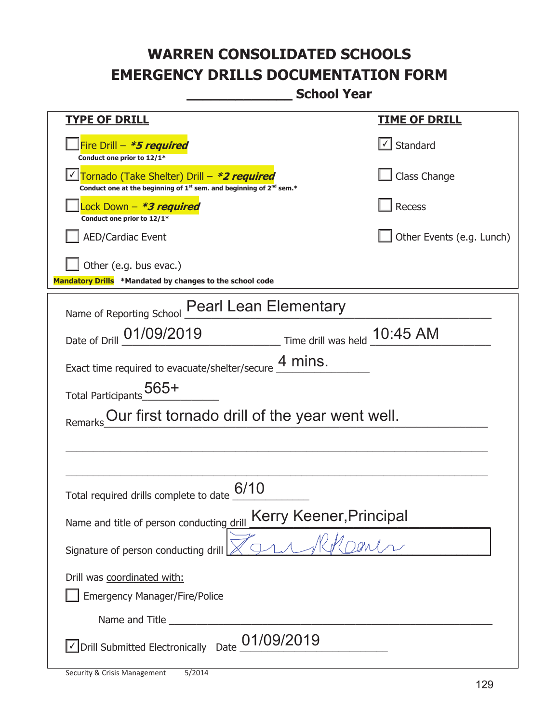**\_\_\_\_\_\_\_\_\_\_\_\_\_ School Year** 

| <b>TYPE OF DRILL</b>                                                                                                        | <u>TIME OF DRILL</u>      |  |
|-----------------------------------------------------------------------------------------------------------------------------|---------------------------|--|
| Fire Drill - *5 required<br>Conduct one prior to 12/1*                                                                      | √ Standard                |  |
| Tornado (Take Shelter) Drill – *2 required<br>Conduct one at the beginning of $1^{st}$ sem. and beginning of $2^{nd}$ sem.* | Class Change              |  |
| Lock Down – <b>*<i>3 required</i></b><br>Conduct one prior to 12/1*                                                         | <b>Recess</b>             |  |
| <b>AED/Cardiac Event</b>                                                                                                    | Other Events (e.g. Lunch) |  |
| Other (e.g. bus evac.)<br>Mandatory Drills *Mandated by changes to the school code                                          |                           |  |
| <b>Pearl Lean Elementary</b><br>Name of Reporting School                                                                    |                           |  |
| Date of Drill 01/09/2019<br>$\frac{10.45 \text{ AM}}{10.45 \text{ AM}}$                                                     |                           |  |
| Exact time required to evacuate/shelter/secure $\frac{4 \text{ mins}}{4}$ .                                                 |                           |  |
| Total Participants <sub>_0</sub> 565+                                                                                       |                           |  |
| Our first tornado drill of the year went well.<br>Remarks                                                                   |                           |  |
|                                                                                                                             |                           |  |
|                                                                                                                             |                           |  |
| 6/10<br>Total required drills complete to date                                                                              |                           |  |
| Kerry Keener, Principal<br>Name and title of person conducting drill                                                        |                           |  |
| Signature of person conducting drill                                                                                        |                           |  |
| Drill was coordinated with:                                                                                                 |                           |  |
| <b>Emergency Manager/Fire/Police</b>                                                                                        |                           |  |
| Name and Title                                                                                                              |                           |  |
| 01/09/2019<br>√ Drill Submitted Electronically Date                                                                         |                           |  |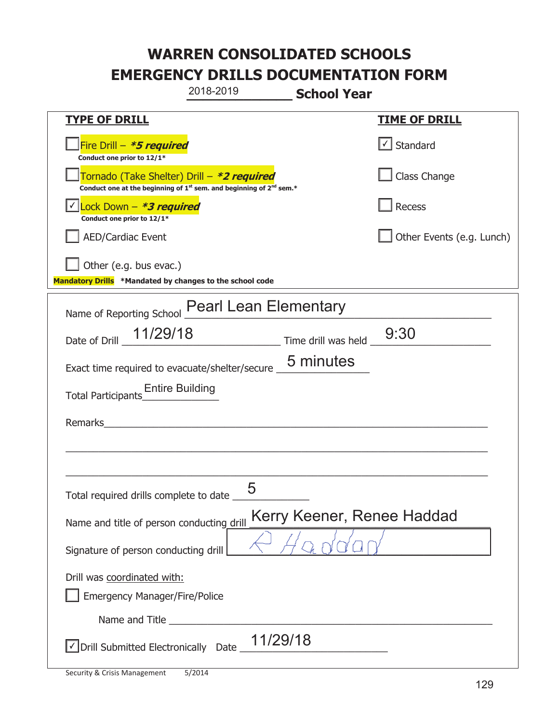|                                                                                                                       | 2018-2019                                                  | <b>School Year</b>         |                           |
|-----------------------------------------------------------------------------------------------------------------------|------------------------------------------------------------|----------------------------|---------------------------|
| <b>TYPE OF DRILL</b>                                                                                                  |                                                            |                            | <b>TIME OF DRILL</b>      |
| Fire Drill – <i>*<b>5 required</b></i><br>Conduct one prior to 12/1*                                                  |                                                            |                            | $\cup$ Standard           |
| Tornado (Take Shelter) Drill – *2 required<br>Conduct one at the beginning of $1st$ sem. and beginning of $2nd$ sem.* |                                                            |                            | Class Change              |
| Lock Down - *3 required<br>Conduct one prior to 12/1*                                                                 |                                                            |                            | Recess                    |
| <b>AED/Cardiac Event</b>                                                                                              |                                                            |                            | Other Events (e.g. Lunch) |
| Other (e.g. bus evac.)<br>Mandatory Drills *Mandated by changes to the school code                                    |                                                            |                            |                           |
| Name of Reporting School                                                                                              | <b>Pearl Lean Elementary</b>                               |                            |                           |
| Date of Drill _ 11/29/18                                                                                              |                                                            | Time drill was held        | 9:30                      |
| Exact time required to evacuate/shelter/secure _                                                                      |                                                            | 5 minutes                  |                           |
| <b>Entire Building</b><br>Total Participants                                                                          |                                                            |                            |                           |
| Remarks                                                                                                               | <u> 1980 - John Stein, mars and de Brazilian (b. 1980)</u> |                            |                           |
|                                                                                                                       |                                                            |                            |                           |
| Total required drills complete to date                                                                                | 5                                                          |                            |                           |
| Name and title of person conducting drill                                                                             |                                                            | Kerry Keener, Renee Haddad |                           |
| Signature of person conducting drill                                                                                  |                                                            |                            |                           |
| Drill was coordinated with:<br><b>Emergency Manager/Fire/Police</b>                                                   |                                                            |                            |                           |
|                                                                                                                       |                                                            |                            |                           |
| √ Drill Submitted Electronically Date                                                                                 |                                                            | 11/29/18                   |                           |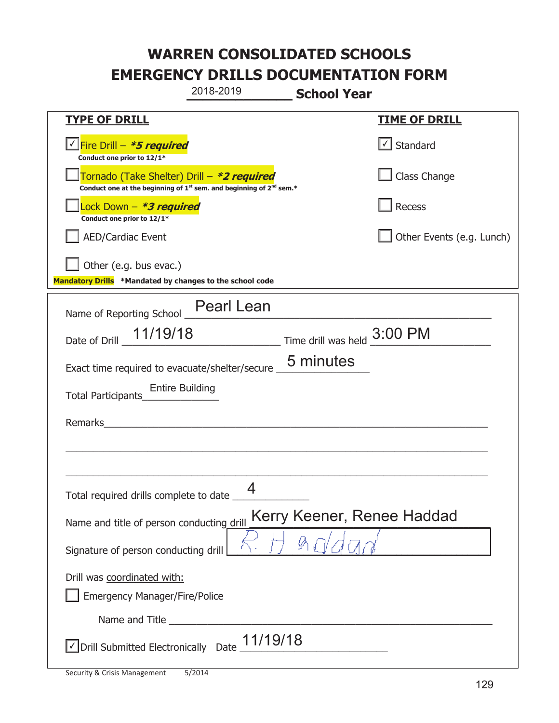|                                                                                                                                           | 2018-2019                   | <b>School Year</b> |                            |
|-------------------------------------------------------------------------------------------------------------------------------------------|-----------------------------|--------------------|----------------------------|
| <b>TYPE OF DRILL</b>                                                                                                                      |                             |                    | <b>TIME OF DRILL</b>       |
| √Fire Drill – <i>*<b>5 required</b></i><br>Conduct one prior to 12/1*                                                                     |                             |                    | Standard                   |
| Tornado (Take Shelter) Drill - *2 required<br>Conduct one at the beginning of 1 <sup>st</sup> sem. and beginning of 2 <sup>nd</sup> sem.* |                             |                    | Class Change               |
| Lock Down - *3 required<br>Conduct one prior to 12/1*                                                                                     |                             |                    | Recess                     |
| <b>AED/Cardiac Event</b>                                                                                                                  |                             |                    | Other Events (e.g. Lunch)  |
| Other (e.g. bus evac.)<br>Mandatory Drills *Mandated by changes to the school code                                                        |                             |                    |                            |
| Name of Reporting School __ Pearl Lean                                                                                                    |                             |                    |                            |
| Date of Drill 11/19/18                                                                                                                    | Time drill was held 3:00 PM |                    |                            |
| Exact time required to evacuate/shelter/secure _                                                                                          |                             | 5 minutes          |                            |
| <b>Entire Building</b><br>Total Participants                                                                                              |                             |                    |                            |
| Remarks                                                                                                                                   |                             |                    |                            |
|                                                                                                                                           |                             |                    |                            |
|                                                                                                                                           |                             |                    |                            |
| Total required drills complete to date                                                                                                    | 4                           |                    |                            |
| Name and title of person conducting drill                                                                                                 |                             |                    | Kerry Keener, Renee Haddad |
| Signature of person conducting drill                                                                                                      |                             |                    |                            |
| Drill was coordinated with:                                                                                                               |                             |                    |                            |
| <b>Emergency Manager/Fire/Police</b>                                                                                                      |                             |                    |                            |
| $\vee$ Drill Submitted Electronically Date $\_$ 11/19/18                                                                                  |                             |                    |                            |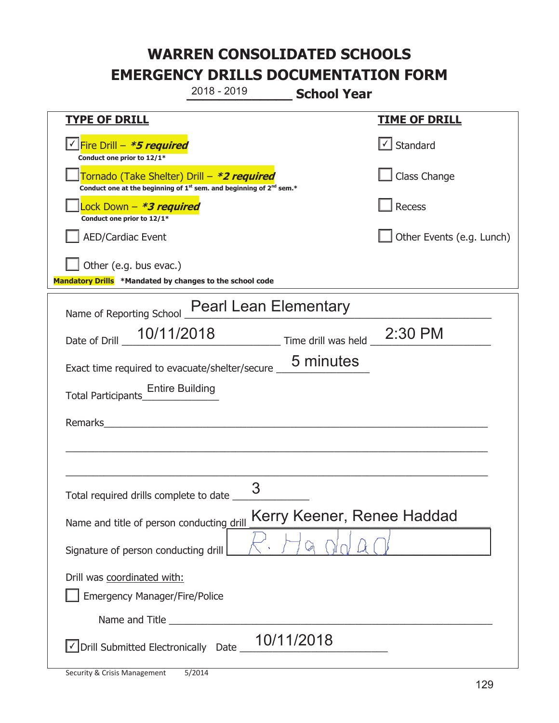**\_\_\_\_\_\_\_\_\_\_\_\_\_ School Year TYPE OF DRILL TIME OF DRILL**  <mark>▽ Fire Drill – *\*5 required* マイクレス マイクレス マイクレス マイクレス マイクレス マイクレス マイクレス マイクレス しゃく</mark> **Conduct one prior to 12/1\***   $\boxed{\checkmark}$  Standard 侊Tornado (Take Shelter) Drill – **\*2 required Conduct one at the beginning of 1<sup>st</sup> sem. and beginning of 2<sup>nd</sup> sem.\*** Class Change 侊Lock Down – **\*3 required Conduct one prior to 12/1\* Recess** AED/Cardiac Event **AED/Cardiac Event Network Network Network Network Network Network Network Network Network Network Network Network Network Network Network Network Network Network Net** Other (e.g. bus evac.) **Mandatory Drills \*Mandated by changes to the school code**  Name of Reporting School Pearl Lean Elementary Date of Drill 10/11/2018 Time drill was held 2:30 PM Exact time required to evacuate/shelter/secure \_\_\_\_\_\_\_\_\_\_\_\_\_\_\_\_\_ Total Participants\_\_\_\_\_\_\_\_\_\_\_\_\_\_ Entire Building Remarks  $\_$  , and the set of the set of the set of the set of the set of the set of the set of the set of the set of the set of the set of the set of the set of the set of the set of the set of the set of the set of the set of th \_\_\_\_\_\_\_\_\_\_\_\_\_\_\_\_\_\_\_\_\_\_\_\_\_\_\_\_\_\_\_\_\_\_\_\_\_\_\_\_\_\_\_\_\_\_\_\_\_\_\_\_\_\_\_\_\_\_\_\_\_\_\_\_\_\_\_\_\_\_\_\_\_\_\_\_\_ Total required drills complete to date \_\_\_\_\_\_\_\_\_\_\_\_\_\_ Name and title of person conducting drill Kerry Keener, Renee Haddad Signature of person conducting drill Drill was coordinated with: ܆ Emergency Manager/Fire/Police Name and Title **Example 20**  $\sqrt{\frac{10}{1120}}$  Drill Submitted Electronically Date  $\sqrt{\frac{10}{1120}}$  2018 - 2019 5 minutes 3 10/11/2018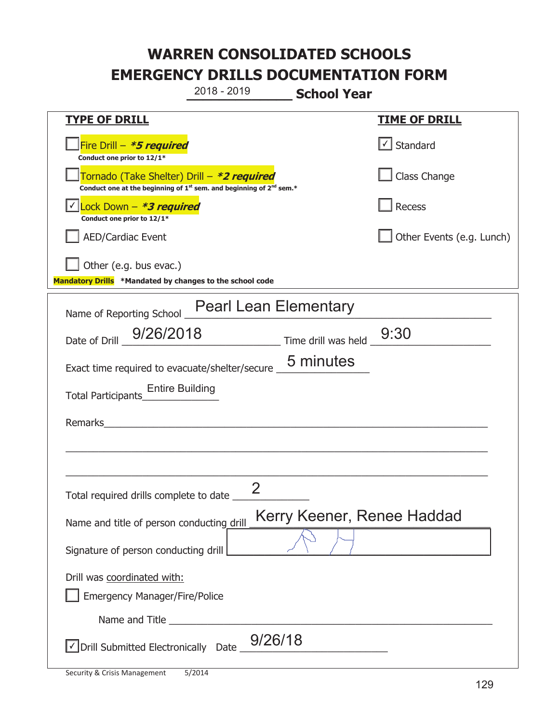**\_\_\_\_\_\_\_\_\_\_\_\_\_ School Year**  2018 - 2019

| <b>SCHOOL TEGI</b>                                                                                                                        |                           |
|-------------------------------------------------------------------------------------------------------------------------------------------|---------------------------|
| <b>TYPE OF DRILL</b>                                                                                                                      | <u>TIME OF DRILL</u>      |
| Fire Drill - *5 required<br>Conduct one prior to 12/1*                                                                                    | Standard                  |
| Tornado (Take Shelter) Drill – *2 required<br>Conduct one at the beginning of 1 <sup>st</sup> sem. and beginning of 2 <sup>nd</sup> sem.* | Class Change              |
| Lock Down - *3 required<br>Conduct one prior to 12/1*                                                                                     | Recess                    |
| <b>AED/Cardiac Event</b>                                                                                                                  | Other Events (e.g. Lunch) |
| Other (e.g. bus evac.)                                                                                                                    |                           |
| Mandatory Drills *Mandated by changes to the school code                                                                                  |                           |
| Name of Reporting School Pearl Lean Elementary                                                                                            |                           |
| 9/26/2018 Time drill was held 9:30<br>Date of Drill                                                                                       |                           |
| Exact time required to evacuate/shelter/secure 5 minutes                                                                                  |                           |
| Entire Building<br>Total Participants <sub> Lege</sub> Entire Building                                                                    |                           |
| Remarks<br><u> 1989 - Johann John Stone, mars et al. 1989 - John Stone, mars et al. 1989 - John Stone, mars et al. 1989 - Joh</u>         |                           |
|                                                                                                                                           |                           |
|                                                                                                                                           |                           |
| 2<br>Total required drills complete to date _                                                                                             |                           |
| Kerry Keener, Renee Haddad<br>Name and title of person conducting drill                                                                   |                           |
| Signature of person conducting drill                                                                                                      |                           |
| Drill was coordinated with:                                                                                                               |                           |
| <b>Emergency Manager/Fire/Police</b>                                                                                                      |                           |
|                                                                                                                                           |                           |
| $\vee$ Drill Submitted Electronically Date $\_$ $9/26/18$                                                                                 |                           |